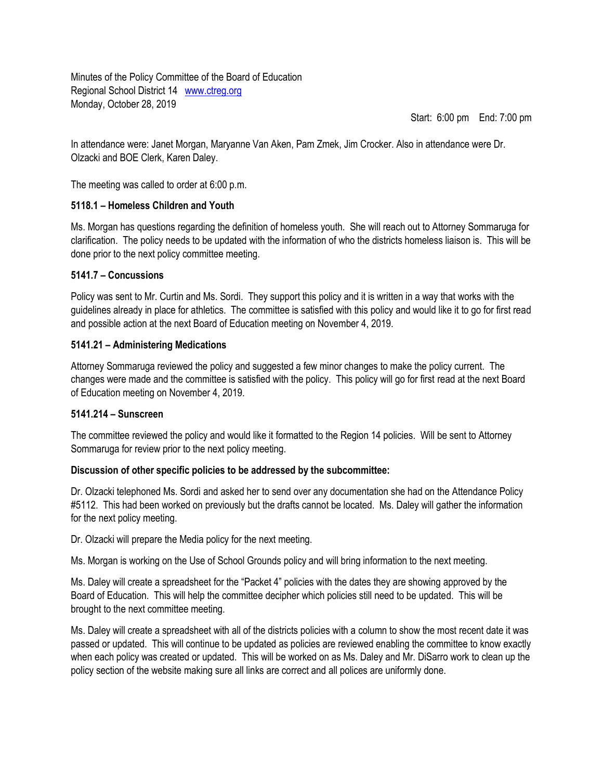Minutes of the Policy Committee of the Board of Education Regional School District 14 [www.ctreg.org](http://www.ctreg.org/) Monday, October 28, 2019

Start: 6:00 pm End: 7:00 pm

In attendance were: Janet Morgan, Maryanne Van Aken, Pam Zmek, Jim Crocker. Also in attendance were Dr. Olzacki and BOE Clerk, Karen Daley.

The meeting was called to order at 6:00 p.m.

## **5118.1 – Homeless Children and Youth**

Ms. Morgan has questions regarding the definition of homeless youth. She will reach out to Attorney Sommaruga for clarification. The policy needs to be updated with the information of who the districts homeless liaison is. This will be done prior to the next policy committee meeting.

## **5141.7 – Concussions**

Policy was sent to Mr. Curtin and Ms. Sordi. They support this policy and it is written in a way that works with the guidelines already in place for athletics. The committee is satisfied with this policy and would like it to go for first read and possible action at the next Board of Education meeting on November 4, 2019.

## **5141.21 – Administering Medications**

Attorney Sommaruga reviewed the policy and suggested a few minor changes to make the policy current. The changes were made and the committee is satisfied with the policy. This policy will go for first read at the next Board of Education meeting on November 4, 2019.

### **5141.214 – Sunscreen**

The committee reviewed the policy and would like it formatted to the Region 14 policies. Will be sent to Attorney Sommaruga for review prior to the next policy meeting.

# **Discussion of other specific policies to be addressed by the subcommittee:**

Dr. Olzacki telephoned Ms. Sordi and asked her to send over any documentation she had on the Attendance Policy #5112. This had been worked on previously but the drafts cannot be located. Ms. Daley will gather the information for the next policy meeting.

Dr. Olzacki will prepare the Media policy for the next meeting.

Ms. Morgan is working on the Use of School Grounds policy and will bring information to the next meeting.

Ms. Daley will create a spreadsheet for the "Packet 4" policies with the dates they are showing approved by the Board of Education. This will help the committee decipher which policies still need to be updated. This will be brought to the next committee meeting.

Ms. Daley will create a spreadsheet with all of the districts policies with a column to show the most recent date it was passed or updated. This will continue to be updated as policies are reviewed enabling the committee to know exactly when each policy was created or updated. This will be worked on as Ms. Daley and Mr. DiSarro work to clean up the policy section of the website making sure all links are correct and all polices are uniformly done.